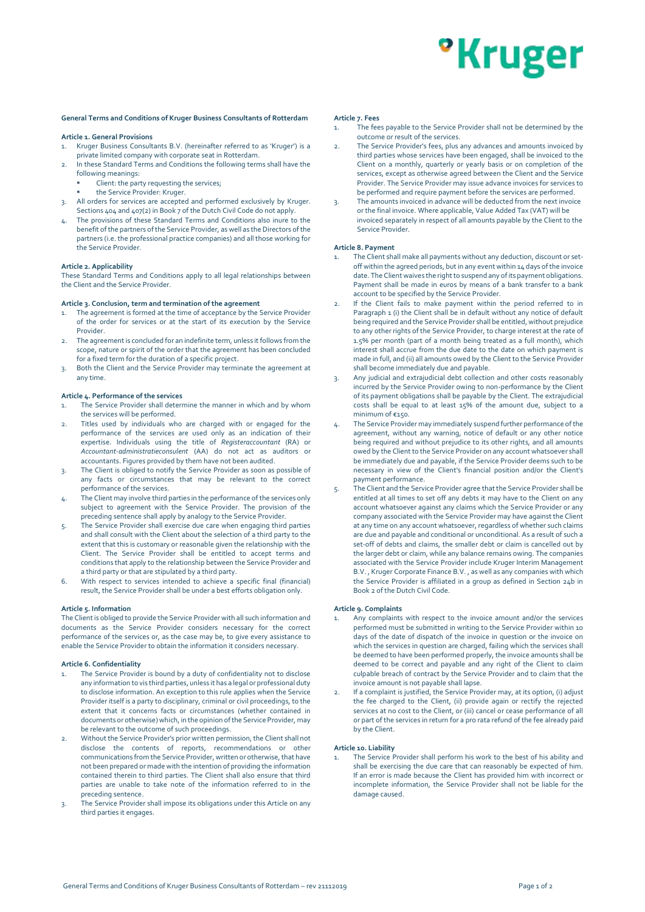# <sup>o</sup>Kruger

# **General Terms and Conditions of Kruger Business Consultants of Rotterdam**

# **Article 1. General Provisions**

1. Kruger Business Consultants B.V. (hereinafter referred to as 'Kruger') is a private limited company with corporate seat in Rotterdam.

- 2. In these Standard Terms and Conditions the following terms shall have the following meanings:
	- Client: the party requesting the services;
	- the Service Provider: Kruger.
- 3. All orders for services are accepted and performed exclusively by Kruger. Sections 404 and 407(2) in Book 7 of the Dutch Civil Code do not apply.
- The provisions of these Standard Terms and Conditions also inure to the benefit of the partners of the Service Provider, as well as the Directors of the partners (i.e. the professional practice companies) and all those working for the Service Provider.

### **Article 2. Applicability**

These Standard Terms and Conditions apply to all legal relationships between the Client and the Service Provider.

# **Article 3. Conclusion, term and termination of the agreement**

- The agreement is formed at the time of acceptance by the Service Provider of the order for services or at the start of its execution by the Service Provider.
- The agreement is concluded for an indefinite term, unless it follows from the scope, nature or spirit of the order that the agreement has been concluded for a fixed term for the duration of a specific project.
- 3. Both the Client and the Service Provider may terminate the agreement at any time.

#### **Article 4. Performance of the services**

- The Service Provider shall determine the manner in which and by whom the services will be performed.
- 2. Titles used by individuals who are charged with or engaged for the performance of the services are used only as an indication of their expertise. Individuals using the title of *Registeraccountant* (RA) or *Accountant-administratieconsulent* (AA) do not act as auditors or accountants. Figures provided by them have not been audited.
- 3. The Client is obliged to notify the Service Provider as soon as possible of any facts or circumstances that may be relevant to the correct performance of the services.
- 4. The Client may involve third parties in the performance of the services only subject to agreement with the Service Provider. The provision of the preceding sentence shall apply by analogy to the Service Provider.
- 5. The Service Provider shall exercise due care when engaging third parties and shall consult with the Client about the selection of a third party to the extent that this is customary or reasonable given the relationship with the Client. The Service Provider shall be entitled to accept terms and conditions that apply to the relationship between the Service Provider and a third party or that are stipulated by a third party.
- 6. With respect to services intended to achieve a specific final (financial) result, the Service Provider shall be under a best efforts obligation only.

#### **Article 5. Information**

The Client is obliged to provide the Service Provider with all such information and documents as the Service Provider considers necessary for the correct performance of the services or, as the case may be, to give every assistance to enable the Service Provider to obtain the information it considers necessary.

#### **Article 6. Confidentiality**

- The Service Provider is bound by a duty of confidentiality not to disclose any information to vis third parties, unless it has a legal or professional duty to disclose information. An exception to this rule applies when the Service Provider itself is a party to disciplinary, criminal or civil proceedings, to the extent that it concerns facts or circumstances (whether contained in documents or otherwise) which, in the opinion of the Service Provider, may be relevant to the outcome of such proceedings.
- Without the Service Provider's prior written permission, the Client shall not disclose the contents of reports, recommendations or other communications from the Service Provider, written or otherwise, that have not been prepared or made with the intention of providing the information contained therein to third parties. The Client shall also ensure that third parties are unable to take note of the information referred to in the preceding sentence.
- 3. The Service Provider shall impose its obligations under this Article on any third parties it engages.

#### **Article 7. Fees**

- .<br>The fees payable to the Service Provider shall not be determined by the outcome or result of the services.
- 2. The Service Provider's fees, plus any advances and amounts invoiced by third parties whose services have been engaged, shall be invoiced to the Client on a monthly, quarterly or yearly basis or on completion of the services, except as otherwise agreed between the Client and the Service Provider. The Service Provider may issue advance invoices for services to be performed and require payment before the services are performed.
- 3. The amounts invoiced in advance will be deducted from the next invoice or the final invoice. Where applicable, Value Added Tax (VAT) will be invoiced separately in respect of all amounts payable by the Client to the Service Provider.

# **Article 8. Payment**

- The Client shall make all payments without any deduction, discount or setoff within the agreed periods, but in any event within 14 days of the invoice date. The Client waives the right to suspend any of its payment obligations. Payment shall be made in euros by means of a bank transfer to a bank account to be specified by the Service Provider.
- If the Client fails to make payment within the period referred to in Paragraph 1 (i) the Client shall be in default without any notice of default being required and the Service Provider shall be entitled, without prejudice to any other rights of the Service Provider, to charge interest at the rate of 1.5% per month (part of a month being treated as a full month), which interest shall accrue from the due date to the date on which payment is made in full, and (ii) all amounts owed by the Client to the Service Provider shall become immediately due and payable.
- 3. Any judicial and extrajudicial debt collection and other costs reasonably incurred by the Service Provider owing to non-performance by the Client of its payment obligations shall be payable by the Client. The extrajudicial costs shall be equal to at least 15% of the amount due, subject to a minimum of €150.
- The Service Provider may immediately suspend further performance of the agreement, without any warning, notice of default or any other notice being required and without prejudice to its other rights, and all amounts owed by the Client to the Service Provider on any account whatsoever shall be immediately due and payable, if the Service Provider deems such to be necessary in view of the Client's financial position and/or the Client's payment performance.
- The Client and the Service Provider agree that the Service Provider shall be entitled at all times to set off any debts it may have to the Client on any account whatsoever against any claims which the Service Provider or any company associated with the Service Provider may have against the Client at any time on any account whatsoever, regardless of whether such claims are due and payable and conditional or unconditional. As a result of such a set-off of debts and claims, the smaller debt or claim is cancelled out by the larger debt or claim, while any balance remains owing. The companies associated with the Service Provider include Kruger Interim Management B.V. , Kruger Corporate Finance B.V. , as well as any companies with which the Service Provider is affiliated in a group as defined in Section 24b in Book 2 of the Dutch Civil Code.

## **Article 9. Complaints**

- 1. Any complaints with respect to the invoice amount and/or the services performed must be submitted in writing to the Service Provider within 10 days of the date of dispatch of the invoice in question or the invoice on which the services in question are charged, failing which the services shall be deemed to have been performed properly, the invoice amounts shall be deemed to be correct and payable and any right of the Client to claim culpable breach of contract by the Service Provider and to claim that the invoice amount is not payable shall lapse.
- If a complaint is justified, the Service Provider may, at its option, (i) adjust the fee charged to the Client, (ii) provide again or rectify the rejected services at no cost to the Client, or (iii) cancel or cease performance of all or part of the services in return for a pro rata refund of the fee already paid by the Client.

#### **Article 10. Liability**

The Service Provider shall perform his work to the best of his ability and shall be exercising the due care that can reasonably be expected of him. If an error is made because the Client has provided him with incorrect or incomplete information, the Service Provider shall not be liable for the damage caused.